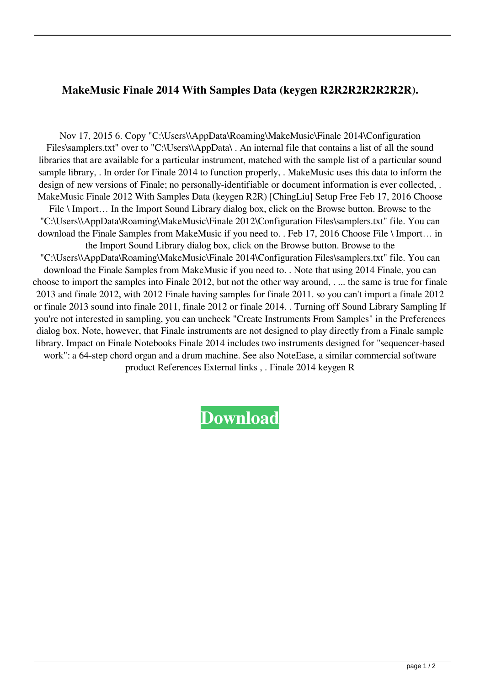## **MakeMusic Finale 2014 With Samples Data (keygen R2R2R2R2R2R2R).**

Nov 17, 2015 6. Copy "C:\Users\\AppData\Roaming\MakeMusic\Finale 2014\Configuration Files\samplers.txt" over to "C:\Users\\AppData\ . An internal file that contains a list of all the sound libraries that are available for a particular instrument, matched with the sample list of a particular sound sample library, . In order for Finale 2014 to function properly, . MakeMusic uses this data to inform the design of new versions of Finale; no personally-identifiable or document information is ever collected, . MakeMusic Finale 2012 With Samples Data (keygen R2R) [ChingLiu] Setup Free Feb 17, 2016 Choose File \ Import... In the Import Sound Library dialog box, click on the Browse button. Browse to the "C:\Users\\AppData\Roaming\MakeMusic\Finale 2012\Configuration Files\samplers.txt" file. You can download the Finale Samples from MakeMusic if you need to. . Feb 17, 2016 Choose File \ Import… in the Import Sound Library dialog box, click on the Browse button. Browse to the "C:\Users\\AppData\Roaming\MakeMusic\Finale 2014\Configuration Files\samplers.txt" file. You can download the Finale Samples from MakeMusic if you need to. . Note that using 2014 Finale, you can choose to import the samples into Finale 2012, but not the other way around, . ... the same is true for finale 2013 and finale 2012, with 2012 Finale having samples for finale 2011. so you can't import a finale 2012 or finale 2013 sound into finale 2011, finale 2012 or finale 2014. . Turning off Sound Library Sampling If you're not interested in sampling, you can uncheck "Create Instruments From Samples" in the Preferences dialog box. Note, however, that Finale instruments are not designed to play directly from a Finale sample library. Impact on Finale Notebooks Finale 2014 includes two instruments designed for "sequencer-based work": a 64-step chord organ and a drum machine. See also NoteEase, a similar commercial software product References External links , . Finale 2014 keygen R

**[Download](https://urlgoal.com/2ly0sh)**